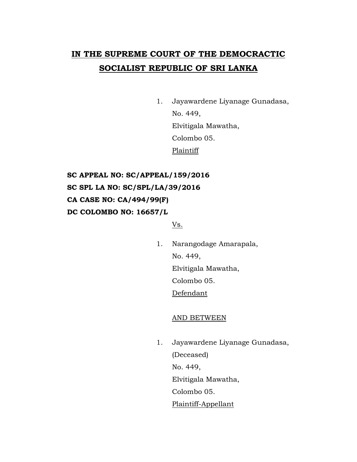# **IN THE SUPREME COURT OF THE DEMOCRACTIC SOCIALIST REPUBLIC OF SRI LANKA**

1. Jayawardene Liyanage Gunadasa, No. 449, Elvitigala Mawatha, Colombo 05. **Plaintiff** 

**SC APPEAL NO: SC/APPEAL/159/2016 SC SPL LA NO: SC/SPL/LA/39/2016 CA CASE NO: CA/494/99(F) DC COLOMBO NO: 16657/L** 

Vs.

1. Narangodage Amarapala, No. 449, Elvitigala Mawatha, Colombo 05. Defendant

## AND BETWEEN

1. Jayawardene Liyanage Gunadasa, (Deceased) No. 449, Elvitigala Mawatha, Colombo 05. Plaintiff-Appellant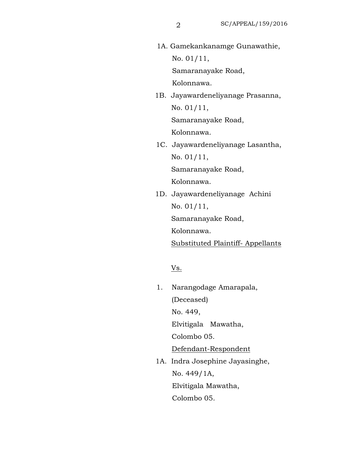1A. Gamekankanamge Gunawathie, No. 01/11, Samaranayake Road,

Kolonnawa.

 1B. Jayawardeneliyanage Prasanna, No. 01/11, Samaranayake Road,

Kolonnawa.

 1C. Jayawardeneliyanage Lasantha, No. 01/11,

Samaranayake Road,

Kolonnawa.

 1D. Jayawardeneliyanage Achini No. 01/11, Samaranayake Road,

Kolonnawa.

Substituted Plaintiff- Appellants

Vs.

- 1. Narangodage Amarapala, (Deceased) No. 449, Elvitigala Mawatha, Colombo 05. Defendant-Respondent 1A. Indra Josephine Jayasinghe,
	- No. 449/1A, Elvitigala Mawatha, Colombo 05.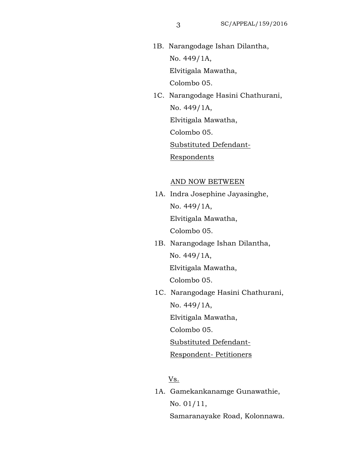- 1B. Narangodage Ishan Dilantha, No. 449/1A, Elvitigala Mawatha, Colombo 05.
- 1C. Narangodage Hasini Chathurani, No. 449/1A, Elvitigala Mawatha, Colombo 05. Substituted Defendant-

Respondents

#### AND NOW BETWEEN

- 1A. Indra Josephine Jayasinghe, No. 449/1A, Elvitigala Mawatha, Colombo 05.
- 1B. Narangodage Ishan Dilantha, No. 449/1A,

Elvitigala Mawatha,

Colombo 05.

 1C. Narangodage Hasini Chathurani, No. 449/1A,

Elvitigala Mawatha,

Colombo 05.

Substituted Defendant-

### Respondent- Petitioners

Vs.

 1A. Gamekankanamge Gunawathie, No. 01/11, Samaranayake Road, Kolonnawa.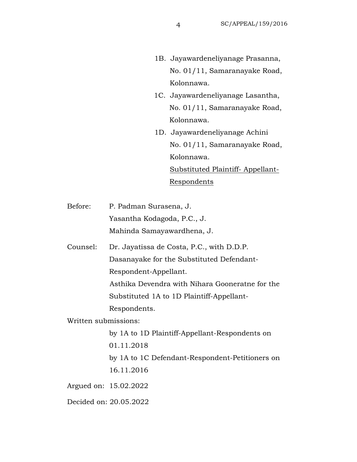- 1B. Jayawardeneliyanage Prasanna, No. 01/11, Samaranayake Road, Kolonnawa.
- 1C. Jayawardeneliyanage Lasantha, No. 01/11, Samaranayake Road, Kolonnawa.
- 1D. Jayawardeneliyanage Achini No. 01/11, Samaranayake Road, Kolonnawa. Substituted Plaintiff- Appellant-Respondents
- Before: P. Padman Surasena, J. Yasantha Kodagoda, P.C., J. Mahinda Samayawardhena, J.
- Counsel: Dr. Jayatissa de Costa, P.C., with D.D.P. Dasanayake for the Substituted Defendant-Respondent-Appellant.

 Asthika Devendra with Nihara Gooneratne for the Substituted 1A to 1D Plaintiff-Appellant-

Respondents.

Written submissions:

by 1A to 1D Plaintiff-Appellant-Respondents on 01.11.2018 by 1A to 1C Defendant-Respondent-Petitioners on 16.11.2016 Argued on: 15.02.2022 Decided on: 20.05.2022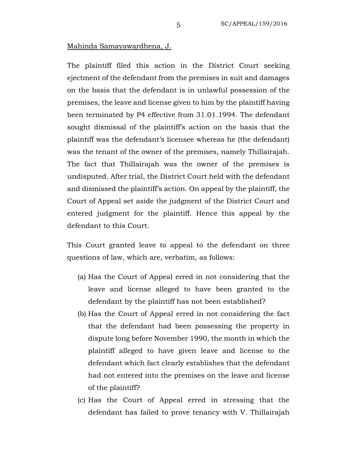#### Mahinda Samayawardhena, J.

The plaintiff filed this action in the District Court seeking ejectment of the defendant from the premises in suit and damages on the basis that the defendant is in unlawful possession of the premises, the leave and license given to him by the plaintiff having been terminated by P4 effective from 31.01.1994. The defendant sought dismissal of the plaintiff's action on the basis that the plaintiff was the defendant's licensee whereas he (the defendant) was the tenant of the owner of the premises, namely Thillairajah. The fact that Thillairajah was the owner of the premises is undisputed. After trial, the District Court held with the defendant and dismissed the plaintiff's action. On appeal by the plaintiff, the Court of Appeal set aside the judgment of the District Court and entered judgment for the plaintiff. Hence this appeal by the defendant to this Court.

This Court granted leave to appeal to the defendant on three questions of law, which are, verbatim, as follows:

- (a) Has the Court of Appeal erred in not considering that the leave and license alleged to have been granted to the defendant by the plaintiff has not been established?
- (b) Has the Court of Appeal erred in not considering the fact that the defendant had been possessing the property in dispute long before November 1990, the month in which the plaintiff alleged to have given leave and license to the defendant which fact clearly establishes that the defendant had not entered into the premises on the leave and license of the plaintiff?
- (c) Has the Court of Appeal erred in stressing that the defendant has failed to prove tenancy with V. Thillairajah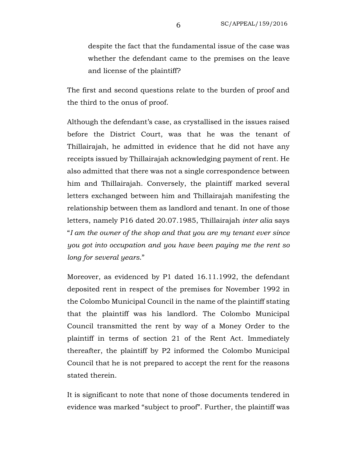despite the fact that the fundamental issue of the case was whether the defendant came to the premises on the leave and license of the plaintiff?

The first and second questions relate to the burden of proof and the third to the onus of proof.

Although the defendant's case, as crystallised in the issues raised before the District Court, was that he was the tenant of Thillairajah, he admitted in evidence that he did not have any receipts issued by Thillairajah acknowledging payment of rent. He also admitted that there was not a single correspondence between him and Thillairajah. Conversely, the plaintiff marked several letters exchanged between him and Thillairajah manifesting the relationship between them as landlord and tenant. In one of those letters, namely P16 dated 20.07.1985, Thillairajah *inter alia* says "*I am the owner of the shop and that you are my tenant ever since you got into occupation and you have been paying me the rent so long for several years*."

Moreover, as evidenced by P1 dated 16.11.1992, the defendant deposited rent in respect of the premises for November 1992 in the Colombo Municipal Council in the name of the plaintiff stating that the plaintiff was his landlord. The Colombo Municipal Council transmitted the rent by way of a Money Order to the plaintiff in terms of section 21 of the Rent Act. Immediately thereafter, the plaintiff by P2 informed the Colombo Municipal Council that he is not prepared to accept the rent for the reasons stated therein.

It is significant to note that none of those documents tendered in evidence was marked "subject to proof". Further, the plaintiff was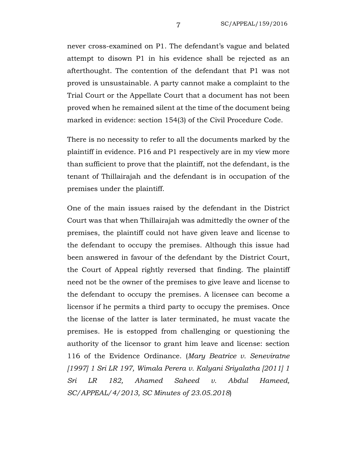never cross-examined on P1. The defendant's vague and belated attempt to disown P1 in his evidence shall be rejected as an afterthought. The contention of the defendant that P1 was not proved is unsustainable. A party cannot make a complaint to the Trial Court or the Appellate Court that a document has not been proved when he remained silent at the time of the document being marked in evidence: section 154(3) of the Civil Procedure Code.

There is no necessity to refer to all the documents marked by the plaintiff in evidence. P16 and P1 respectively are in my view more than sufficient to prove that the plaintiff, not the defendant, is the tenant of Thillairajah and the defendant is in occupation of the premises under the plaintiff.

One of the main issues raised by the defendant in the District Court was that when Thillairajah was admittedly the owner of the premises, the plaintiff could not have given leave and license to the defendant to occupy the premises. Although this issue had been answered in favour of the defendant by the District Court, the Court of Appeal rightly reversed that finding. The plaintiff need not be the owner of the premises to give leave and license to the defendant to occupy the premises. A licensee can become a licensor if he permits a third party to occupy the premises. Once the license of the latter is later terminated, he must vacate the premises. He is estopped from challenging or questioning the authority of the licensor to grant him leave and license: section 116 of the Evidence Ordinance. (*Mary Beatrice v. Seneviratne [1997] 1 Sri LR 197, Wimala Perera v. Kalyani Sriyalatha [2011] 1 Sri LR 182, Ahamed Saheed v. Abdul Hameed, SC/APPEAL/4/2013, SC Minutes of 23.05.2018*)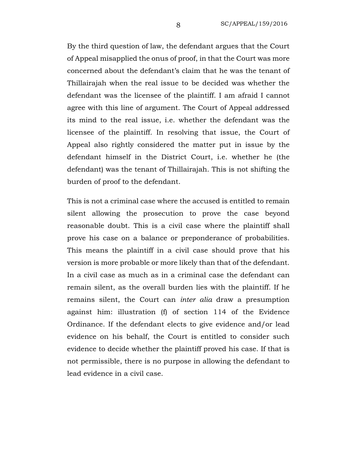By the third question of law, the defendant argues that the Court of Appeal misapplied the onus of proof, in that the Court was more concerned about the defendant's claim that he was the tenant of Thillairajah when the real issue to be decided was whether the defendant was the licensee of the plaintiff. I am afraid I cannot agree with this line of argument. The Court of Appeal addressed its mind to the real issue, i.e. whether the defendant was the licensee of the plaintiff. In resolving that issue, the Court of Appeal also rightly considered the matter put in issue by the defendant himself in the District Court, i.e. whether he (the defendant) was the tenant of Thillairajah. This is not shifting the burden of proof to the defendant.

This is not a criminal case where the accused is entitled to remain silent allowing the prosecution to prove the case beyond reasonable doubt. This is a civil case where the plaintiff shall prove his case on a balance or preponderance of probabilities. This means the plaintiff in a civil case should prove that his version is more probable or more likely than that of the defendant. In a civil case as much as in a criminal case the defendant can remain silent, as the overall burden lies with the plaintiff. If he remains silent, the Court can *inter alia* draw a presumption against him: illustration (f) of section 114 of the Evidence Ordinance. If the defendant elects to give evidence and/or lead evidence on his behalf, the Court is entitled to consider such evidence to decide whether the plaintiff proved his case. If that is not permissible, there is no purpose in allowing the defendant to lead evidence in a civil case.